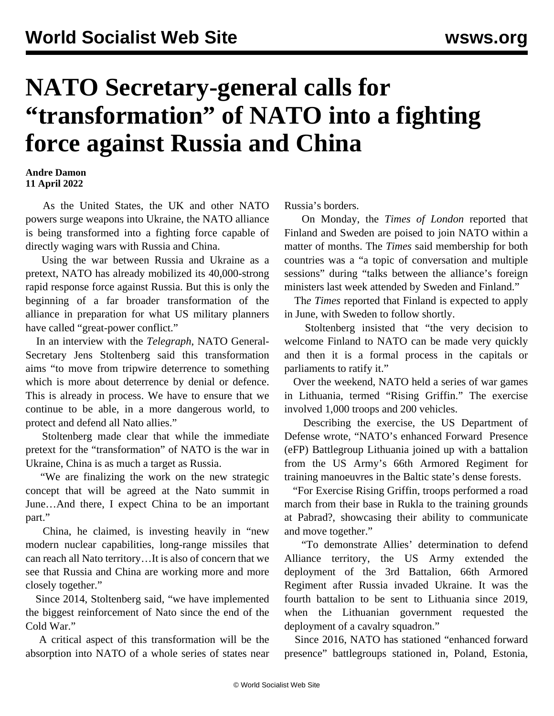## **NATO Secretary-general calls for "transformation" of NATO into a fighting force against Russia and China**

## **Andre Damon 11 April 2022**

 As the United States, the UK and other NATO powers surge weapons into Ukraine, the NATO alliance is being transformed into a fighting force capable of directly waging wars with Russia and China.

 Using the war between Russia and Ukraine as a pretext, NATO has already mobilized its 40,000-strong rapid response force against Russia. But this is only the beginning of a far broader transformation of the alliance in preparation for what US military planners have called "great-power conflict."

 In an interview with the *Telegraph*, NATO General-Secretary Jens Stoltenberg said this transformation aims "to move from tripwire deterrence to something which is more about deterrence by denial or defence. This is already in process. We have to ensure that we continue to be able, in a more dangerous world, to protect and defend all Nato allies."

 Stoltenberg made clear that while the immediate pretext for the "transformation" of NATO is the war in Ukraine, China is as much a target as Russia.

 "We are finalizing the work on the new strategic concept that will be agreed at the Nato summit in June…And there, I expect China to be an important part."

 China, he claimed, is investing heavily in "new modern nuclear capabilities, long-range missiles that can reach all Nato territory…It is also of concern that we see that Russia and China are working more and more closely together."

 Since 2014, Stoltenberg said, "we have implemented the biggest reinforcement of Nato since the end of the Cold War."

 A critical aspect of this transformation will be the absorption into NATO of a whole series of states near Russia's borders.

 On Monday, the *Times of London* reported that Finland and Sweden are poised to join NATO within a matter of months. The *Times* said membership for both countries was a "a topic of conversation and multiple sessions" during "talks between the alliance's foreign ministers last week attended by Sweden and Finland."

 Th*e Times* reported that Finland is expected to apply in June, with Sweden to follow shortly.

 Stoltenberg insisted that "the very decision to welcome Finland to NATO can be made very quickly and then it is a formal process in the capitals or parliaments to ratify it."

 Over the weekend, NATO held a series of war games in Lithuania, termed "Rising Griffin." The exercise involved 1,000 troops and 200 vehicles.

 Describing the exercise, the US Department of Defense wrote, "NATO's enhanced Forward Presence (eFP) Battlegroup Lithuania joined up with a battalion from the US Army's 66th Armored Regiment for training manoeuvres in the Baltic state's dense forests.

 "For Exercise Rising Griffin, troops performed a road march from their base in Rukla to the training grounds at Pabrad?, showcasing their ability to communicate and move together."

 "To demonstrate Allies' determination to defend Alliance territory, the US Army extended the deployment of the 3rd Battalion, 66th Armored Regiment after Russia invaded Ukraine. It was the fourth battalion to be sent to Lithuania since 2019, when the Lithuanian government requested the deployment of a cavalry squadron."

 Since 2016, NATO has stationed "enhanced forward presence" battlegroups stationed in, Poland, Estonia,